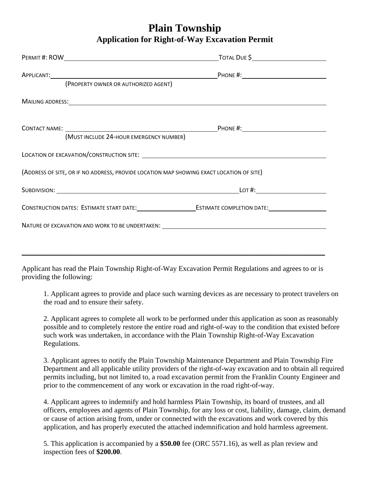## **Plain Township Application for Right-of-Way Excavation Permit**

| APPLICANT: PHONE #:<br>(PROPERTY OWNER OR AUTHORIZED AGENT)                                                                                                                                                                   |  |
|-------------------------------------------------------------------------------------------------------------------------------------------------------------------------------------------------------------------------------|--|
| MAILING ADDRESS: We have a state of the state of the state of the state of the state of the state of the state of the state of the state of the state of the state of the state of the state of the state of the state of the |  |
| (MUST INCLUDE 24-HOUR EMERGENCY NUMBER)                                                                                                                                                                                       |  |
|                                                                                                                                                                                                                               |  |
| (ADDRESS OF SITE, OR IF NO ADDRESS, PROVIDE LOCATION MAP SHOWING EXACT LOCATION OF SITE)                                                                                                                                      |  |
|                                                                                                                                                                                                                               |  |
|                                                                                                                                                                                                                               |  |
| NATURE OF EXCAVATION AND WORK TO BE UNDERTAKEN: NATURE OF A SALE AND THE SERVICE OF EXCAVATION AND WORK TO BE UNDERTAKEN:                                                                                                     |  |

Applicant has read the Plain Township Right-of-Way Excavation Permit Regulations and agrees to or is providing the following:

1. Applicant agrees to provide and place such warning devices as are necessary to protect travelers on the road and to ensure their safety.

2. Applicant agrees to complete all work to be performed under this application as soon as reasonably possible and to completely restore the entire road and right-of-way to the condition that existed before such work was undertaken, in accordance with the Plain Township Right-of-Way Excavation Regulations.

3. Applicant agrees to notify the Plain Township Maintenance Department and Plain Township Fire Department and all applicable utility providers of the right-of-way excavation and to obtain all required permits including, but not limited to, a road excavation permit from the Franklin County Engineer and prior to the commencement of any work or excavation in the road right-of-way.

4. Applicant agrees to indemnify and hold harmless Plain Township, its board of trustees, and all officers, employees and agents of Plain Township, for any loss or cost, liability, damage, claim, demand or cause of action arising from, under or connected with the excavations and work covered by this application, and has properly executed the attached indemnification and hold harmless agreement.

5. This application is accompanied by a **\$50.00** fee (ORC 5571.16), as well as plan review and inspection fees of **\$200.00**.